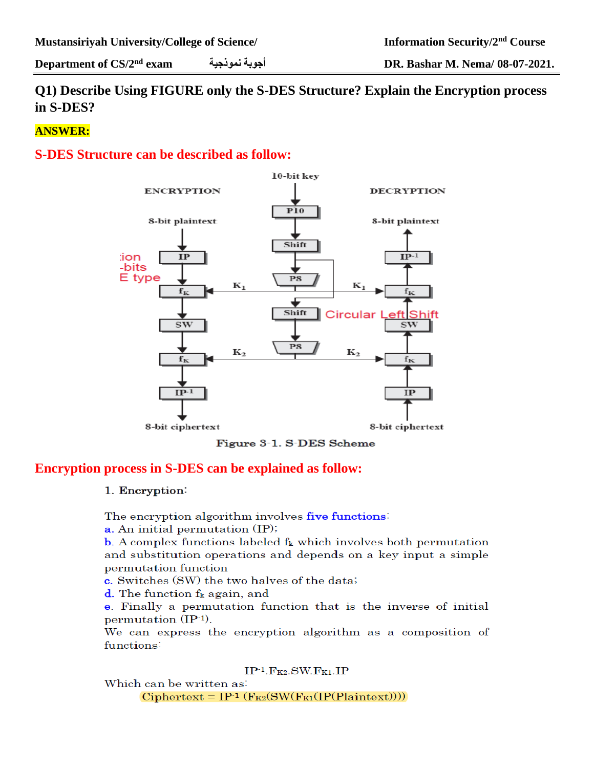# **Q1) Describe Using FIGURE only the S-DES Structure? Explain the Encryption process in S-DES?**

# **ANSWER:**

# **S-DES Structure can be described as follow:**



Figure 3-1. S-DES Scheme

# **Encryption process in S-DES can be explained as follow:**

#### 1. Encryption:

The encryption algorithm involves five functions

**a.** An initial permutation (IP);

**b.** A complex functions labeled  $f_k$  which involves both permutation and substitution operations and depends on a key input a simple permutation function

c. Switches (SW) the two halves of the data;

**d**. The function  $f_k$  again, and

e. Finally a permutation function that is the inverse of initial permutation  $(\text{IP-1})$ .

We can express the encryption algorithm as a composition of functions:

 $IP^{-1}$ .  $F_{K2}$ . SW.  $F_{K1}$ . IP

Which can be written as:  $Ciphertext = IP^{-1} (F_{K2}(SW(F_{K1}(IP(Plaintext))))$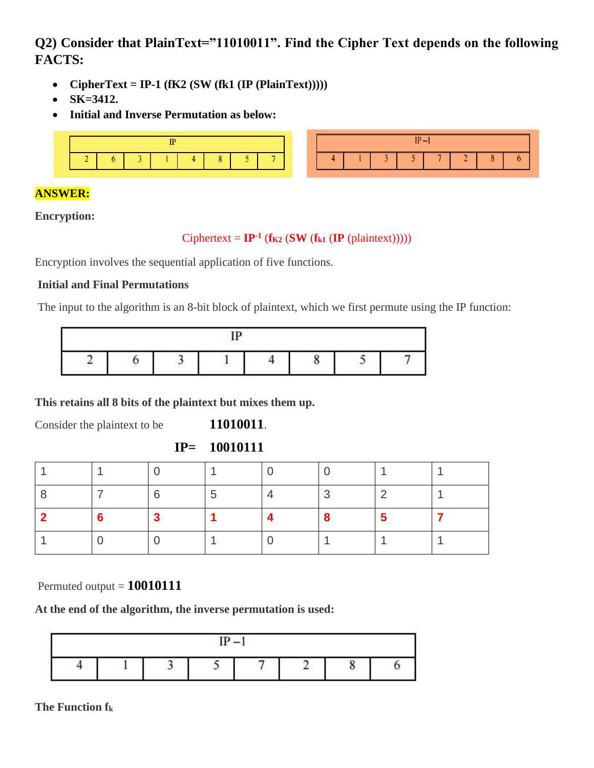# **Q2) Consider that PlainText="11010011". Find the Cipher Text depends on the following FACTS:**

- **CipherText = IP-1**  $(fK2 (SW (fk1 (IP (PlainText))))))$
- **SK=3412.**
- **Initial and Inverse Permutation as below:**



# **ANSWER:**

**Encryption:**

#### $Ciphertext = IP^{-1}$  ( $f_{K2}$  ( $SW$  ( $f_{k1}$  ( $IP$  (plaintext)))))

Encryption involves the sequential application of five functions.

#### **Initial and Final Permutations**

The input to the algorithm is an 8-bit block of plaintext, which we first permute using the IP function:

|  |  |  |  |  | ι. |  |  |  |
|--|--|--|--|--|----|--|--|--|

**This retains all 8 bits of the plaintext but mixes them up.**

Consider the plaintext to be **11010011**.

**IP= 10010111**

|  | - 6 | 5 | ⌒ | റ |  |
|--|-----|---|---|---|--|
|  | -3  |   | 8 | 5 |  |
|  |     |   |   |   |  |

Permuted output = **10010111**

**At the end of the algorithm, the inverse permutation is used:**



**The Function fk**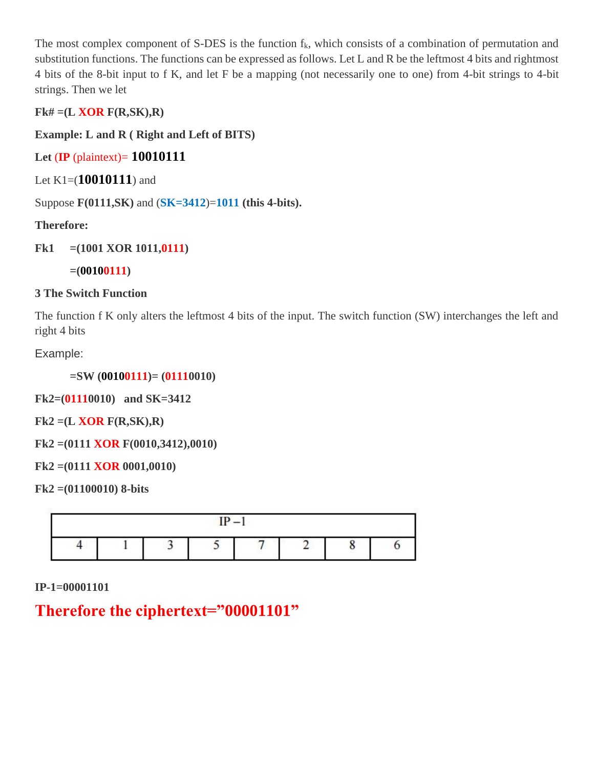The most complex component of S-DES is the function  $f_k$ , which consists of a combination of permutation and substitution functions. The functions can be expressed as follows. Let L and R be the leftmost 4 bits and rightmost 4 bits of the 8-bit input to f K, and let F be a mapping (not necessarily one to one) from 4-bit strings to 4-bit strings. Then we let

**Fk# =(L XOR F(R,SK),R)**

**Example: L and R ( Right and Left of BITS)**

**Let** (**IP** (plaintext)= **10010111**

Let K1=(**10010111**) and

Suppose **F(0111,SK)** and (**SK=3412**)=**1011 (this 4-bits).**

**Therefore:**

**Fk1 =(1001 XOR 1011,0111)**

**=(00100111)**

# **3 The Switch Function**

The function f K only alters the leftmost 4 bits of the input. The switch function (SW) interchanges the left and right 4 bits

Example:

**=SW (00100111)= (01110010)**

**Fk2=(01110010) and SK=3412**

**Fk2 =(L XOR F(R,SK),R)**

**Fk2 =(0111 XOR F(0010,3412),0010)**

**Fk2 =(0111 XOR 0001,0010)**

**Fk2 =(01100010) 8-bits**

| m |  |  |  |  |  |  |  |  |
|---|--|--|--|--|--|--|--|--|
|   |  |  |  |  |  |  |  |  |

**IP-1=00001101**

# **Therefore the ciphertext="00001101"**